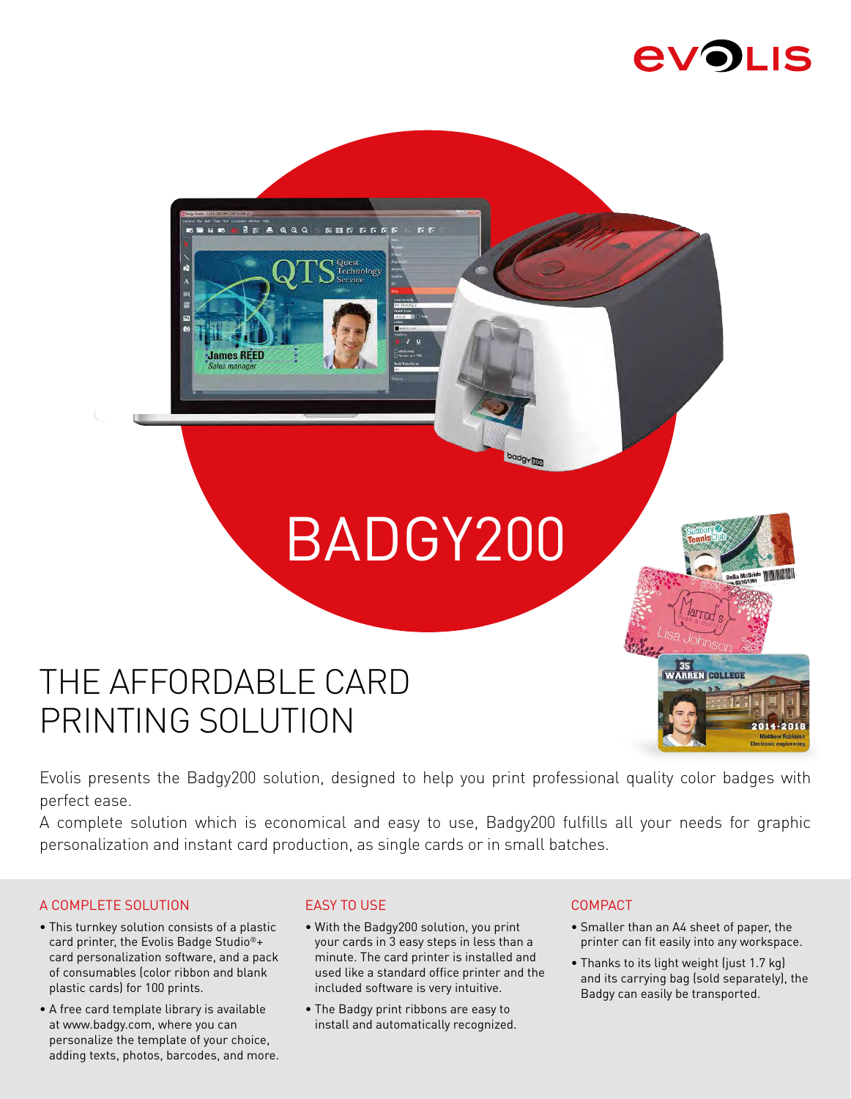# **EVOLIS**

# BADGY200

# THE AFFORDABLE CARD PRINTING SOLUTION

 $\blacksquare$ 

**James REED** 

**A** 

 $\sim$ 

Technology

**DB** 8

35<br>WARREN COLLEGE

Evolis presents the Badgy200 solution, designed to help you print professional quality color badges with perfect ease.

A complete solution which is economical and easy to use, Badgy200 fulfills all your needs for graphic personalization and instant card production, as single cards or in small batches.

#### A COMPLETE SOLUTION

- This turnkey solution consists of a plastic card printer, the Evolis Badge Studio®+ card personalization software, and a pack of consumables (color ribbon and blank plastic cards) for 100 prints.
- A free card template library is available at www.badgy.com, where you can personalize the template of your choice, adding texts, photos, barcodes, and more.

#### EASY TO USE

- With the Badgy200 solution, you print your cards in 3 easy steps in less than a minute. The card printer is installed and used like a standard office printer and the included software is very intuitive.
- The Badgy print ribbons are easy to install and automatically recognized.

#### COMPACT

- Smaller than an A4 sheet of paper, the printer can fit easily into any workspace.
- Thanks to its light weight (just 1.7 kg) and its carrying bag (sold separately), the Badgy can easily be transported.